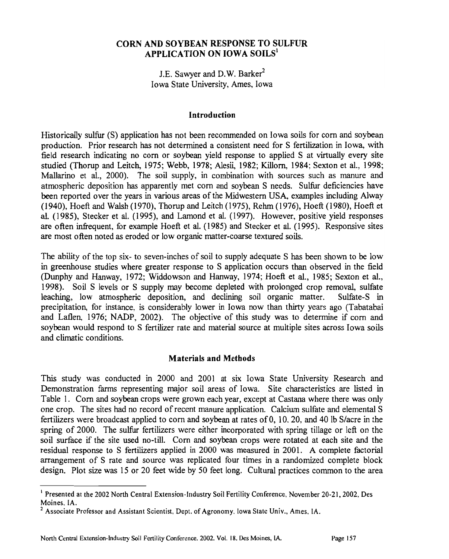#### **CORN AND SOYBEAN RESPONSE TO SULFUR APPLICATION ON IOWA SOILS'**

J.E. Sawyer and D.W. Barker<sup>2</sup> Iowa State University, Ames, Iowa

#### **Introduction**

Historically sulfur (S) application has not been recommended on Iowa soils for corn and soybean production. Prior research has not determined a consistent need for S fertilization in Iowa, with field research indicating no corn or soybean yield response to applied S at virtually every site studied (Thorup and Leitch, 1975; Webb, 1978; Alesii, 1982; Killom, 1984; Sexton et al., 1998; Mallarino et al., 2000). The soil supply, in combination with sources such as manure and atmospheric deposition has apparently met corn and soybean S needs. Sulfur deficiencies have been reported over the years in various areas of the Midwestern USA, examples including Alway (1940), Hoeft and Walsh (1970), Thorup and Leitch (1975), Rehm (1976), Hoeft (1980), Hoeft et **al.** (1985), Stecker et al. (1995), and Lamond et **al.** (1997). However, positive yield responses are often infrequent, for example Hoeft et al. (1985) and Stecker et al. (1995). Responsive sites are most often noted as eroded or low organic matter-coarse textured soils.

The ability of the top six- to seven-inches of soil to supply adequate S has been shown to be low in greenhouse studies where greater response to S application occurs than observed in the field (Dunphy and Hanway, 1972; Widdowson and Hanway, 1974; Hoeft et **al.,** 1985; Sexton et al., 1998). Soil S levels or S supply may become depleted with prolonged crop removal, sulfate leaching, low atmospheric deposition, and declining soil organic matter. Sulfate-S in precipitation, for instance, is considerably lower in Iowa now than thirty years ago (Tabatabai and Laflen, 1976; NADP, 2002). The objective of this study was to determine if corn and soybean would respond to S fertilizer rate and material source at multiple sites across Iowa soils and climatic conditions.

#### **Materials and Methods**

This study was conducted in 2000 and 2001 at six Iowa State University Research and Demonstration farms representing major soil areas of Iowa. Site characteristics are listed in Table 1. Corn and soybean crops were grown each year, except at Castana where there was only one crop. The sites had no record of recent manure application. Calcium sulfate and elemental S fertilizers were broadcast applied to corn and soybean at rates of 0, 10. 20. and 40 lb Slacre in the spring of 2000. The sulfur fertilizers were either incorporated with spring tillage or left on the soil surface if the site used no-till. Corn and soybean crops were rotated at each site and the residual response to S fertilizers applied in 2000 was measured in 2001. **A** complete factorial arrangement of S rate and source was replicated four times in a randomized complete block design. Plot size was 15 or 20 feet wide by 50 feet long. Cultural practices common to the area

<sup>&#</sup>x27; Presented at the 2002 North Central Extension-Industry Soil Fertility Conference, November 20-21,2002, Des Moines. IA.

<sup>&</sup>lt;sup>2</sup> Associate Professor and Assistant Scientist, Dept. of Agronomy. Iowa State Univ., Ames, IA.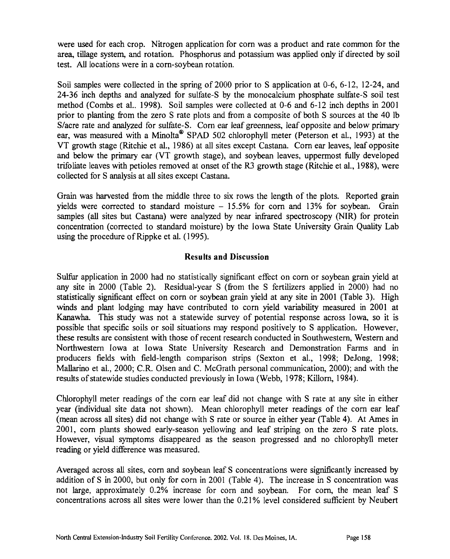were used for each crop. Nitrogen application for corn was a product and rate common for the **area,** tillage system, and rotation. Phosphorus and potassium was applied only if directed by soil test. *All* locations were in a corn-soybean rotation.

Soil samples were collected in the spring of 2000 prior to S application at 0-6, 6-12, 12-24, and 24-36 inch depths and analyzed for sulfate-S by the monocalcium phosphate sulfate-S soil test method (Combs et al.. 1998). Soil samples were collected at 0-6 and 6-12 inch depths in 2001 prior to planting from the zero S rate plots and from a composite of both S sources at the 40 lb S/acre rate and analyzed for sulfate-S. Corn ear leaf greenness, leaf opposite and below primary ear, was measured with a Minolta<sup>®</sup> SPAD 502 chlorophyll meter (Peterson et al., 1993) at the VT growth stage (Ritchie et al., 1986) at all sites except Castana. Corn ear leaves, leaf opposite and below the primary ear (VT growth stage), and soybean leaves, uppermost fully developed trifoliate leaves with petioles removed at onset of the R3 growth stage (Ritchie et al., 1988), were collected for S analysis at all sites except Castana.

Grain was harvested from the middle three to six rows the length of the plots. Reported grain yields were corrected to standard moisture  $-15.5%$  for corn and 13% for soybean. Grain samples (all sites but Castana) were analyzed by near infrared spectroscopy (NIR) for protein concentration (corrected to standard moisture) by the Iowa State University Grain Quality Lab using the procedure of Rippke et al. (1995).

#### **Results and Discussion**

Sulfur application in 2000 had no statistically significant effect on corn or soybean grain yield at any site in 2000 (Table 2). Residual-year S (fiom the S fertilizers applied in 2000) had no statistically significant effect on corn or soybean grain yield at any site in 2001 (Table 3). High winds and plant lodging may have contributed to corn yield variability measured in 2001 at Kanawha. This study was not a statewide survey of potential response across Iowa, so it is possible that specific soils or soil situations may respond positively to S application. However, these results are consistent with those of recent research conducted in Southwestern, Western and Northwestern Iowa at Iowa State University Research and Demonstration Farms and in producers fields with field-length comparison strips (Sexton et al., 1998; DeJong, 1998; Mallarino et al., 2000; C.R. Olsen and C. McGrath personal communication, 2000); and with the results of statewide studies conducted previously in Iowa (Webb, 1978; Killorn, 1984).

Chlorophyll meter readings of the corn ear leaf did not change with S rate at any site in either year (individual site data not shown), Mean chlorophyll meter readings of the corn ear leaf (mean across all sites) did not change with S rate or source in either year (Table 4). At Ames in 2001, corn plants showed early-season yellowing and leaf striping on the zero S rate plots. However, visual symptoms disappeared as the season progressed and no chlorophyll meter reading or yield difference was measured.

Averaged across all sites, corn and soybean leaf S concentrations were significantly increased by addition of S in 2000, but only for corn in 2001 (Table 4). The increase in S concentration was not large, approximately 0.2% increase for corn and soybean. For corn, the mean leaf S concentrations across all sites were lower than the 0.21% level considered sufficient by Neubert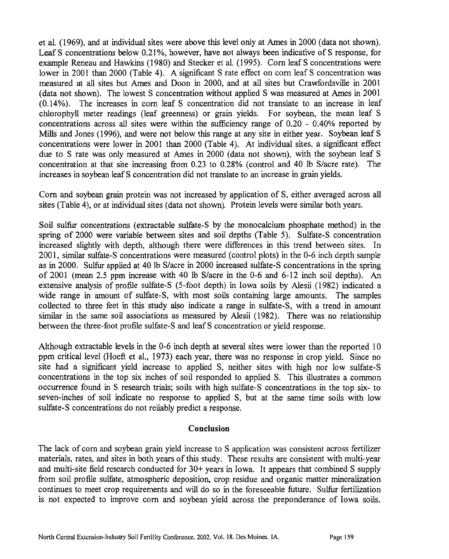et al. (1 969), and at individual sites were above this level only at Ames in 2000 (data not shown). Leaf S concentrations below 0.21%, however, have not always been indicative of S response, for example Reneau and Hawkins (1980) and Stecker et al. (1995). Corn leaf S concentrations were lower in 2001 than 2000 (Table 4). A significant S rate effect on corn leaf S concentration was measured at all sites but Ames and Doon in 2000, and at all sites but Crawfordsville in 2001 (data not shown). The lowest S concentration without applied S was measured at Ames in 2001 (0.14%). The increases in corn leaf S concentration did not translate to an increase in leaf chlorophyll meter readings (leaf greenness) or grain yields. For soybean, the mean leaf S concentrations across all sites were within the sufficiency range of 0.20 - 0.40% reported by Mills and Jones (1996), and were not below this range at any site in either year. Soybean leaf S concentrations were lower in 2001 than 2000 (Table 4). At individual sites, a significant effect due to S rate was only measured at Ames in 2000 (data not shown), with the soybean leaf S concentration at that site increasing fiom 0.23 to 0.28% (control and 40 lb S/acre rate). The increases in soybean leaf S concentration did not translate to an increase in grain yields.

Corn and soybean grain protein was not increased by application of S, either averaged across all sites (Table 4), or at individual sites (data not shown). Protein levels were similar both years.

Soil sulfur concentrations (extractable sulfate-S by the monocalcium phosphate method) in the spring of 2000 were variable between sites and soil depths (Table 5). Sulfate-S concentration increased slightly with depth, although there were differences in this trend between sites. In 2001, similar sulfate-S concentrations were measured (control plots) in the 0-6 inch depth sample as in 2000. Sulfur applied at 40 lb S/acre in 2000 increased sulfate-S concentrations in the spring of 2001 (mean 2.5 ppm increase with 40 lb Sfacre in the 0-6 and 6-12 inch soil depths). An extensive analysis of profile sulfate-S  $(5\text{-foot depth})$  in Iowa soils by Alesii  $(1982)$  indicated a wide range in amount of sulfate-S, with most soils containing large amounts. The samples collected to three feet in this study also indicate a range in sulfate-S, with a trend in amount similar in the same soil associations as measured by Alesii (1982). There was no relationship between the three-foot profile sulfate-S and leaf S concentration or yield response.

Although extractable levels in the 0-6 inch depth at several sites were lower than the reported 10 ppm critical level (Hoefi et al., 1973) each year, there was no response in crop yield. Since no site had a significant yield increase to applied S, neither sites with high nor low sulfate-S concentrations in the top six inches of soil responded to applied S. This illustrates a common occurrence found in S research trials; soils with high sulfate-S concentrations in the top six- to seven-inches of soil indicate no response to applied S, but at the same time soils with low sulfate-S concentrations do not reliably predict a response.

#### **Conclusion**

The lack of corn and soybean grain yield increase to S application was consistent across fertilizer materials, rates, and sites in both years of this study. These results are consistent with multi-year and multi-site field research conducted for 30+ years in Iowa. It appears that combined S supply from soil profle sulfate, atmospheric deposition, crop residue and organic matter mineralization continues to meet crop requirements and will do so in the foreseeable future. Sulfur fertilization is not expected to improve corn and soybean yield across the preponderance of Iowa soils.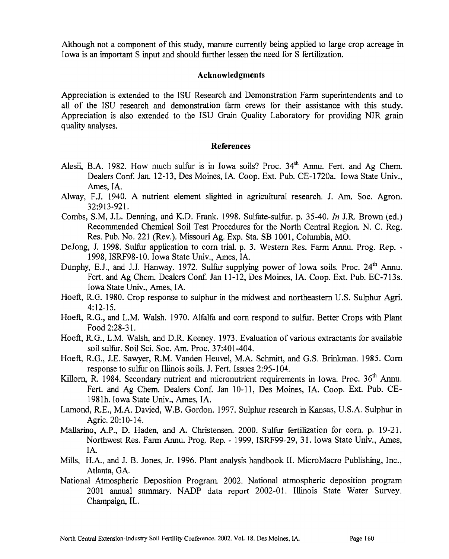Although not a component of this study, manure currently being applied to large crop acreage in Iowa is an important S input and should further lessen the need for S fertilization.

#### Acknowledgments

Appreciation is extended to the ISU Research and Demonstration Farm superintendents and to all of the ISU research and demonstration farm crews for their assistance with this study. Appreciation is also extended to the ISU Grain Quality Laboratory for providing NIR grain quality analyses.

#### **References**

- Alesii, B.A. 1982. How much sulfur is in Iowa soils? Proc.  $34<sup>th</sup>$  Annu. Fert. and Ag Chem. Dealers Conf. Jan. 12-13, Des Moines, IA. Coop. Ext. Pub. CE-1720a. Iowa State Univ., Ames, IA.
- Alway, F.J. 1940. A nutrient element slighted in agricultural research. J. **Am.** Soc. Agron. 32:913-921.
- Combs, S.M, J.L. Denning, and K.D. Frank. 1998. Sulfate-sulfur. p. 35-40. In J.R. Brown (ed.) Recommended Chemical Soil Test Procedures for the North Central Region. N. C. Reg. Res. Pub. No. 221 (Rev.). Missouri Ag. Exp. Sta. SB 1001, Columbia, MO.
- DeJong, J. 1998. SuLfur application to corn trial. p. 3. Western Res. Farm Annu. Prog. Rep. 1998, ISRF98-10. Iowa State Univ., Ames, IA.
- Dunphy, E.J., and J.J. Hanway. 1972. Sulfur supplying power of Iowa soils. Proc. 24<sup>th</sup> Annu. Fert. and Ag Chem. Dealers Conf. Jan 11-12, Des Moines, IA. Coop. Ext. Pub. EC-713s. Iowa State Univ., Ames, IA.
- Hoeft, RG. 1980. Crop response to sulphur in the rnidwest and northeastern U.S. Sulphur **Agri.**   $4:12-15.$
- Hoeft, RG., and L.M. Walsh. 1970. Alfalfa and corn respond to sulfur. Better Crops with Plant Food 2:28-3 1.
- Hoefi, R.G., L.M. Walsh, and D.R. Keeney. 1973. Evaluation of various extractants for available soil sulfur. Soil Sci. Soc. **Am.** Proc. 37:301-404.
- Hoeft, R.G., J.E. Sawyer, R.M. Vanden Heuvel, M.A. Schmitt, and G.S. Brinkman. 1985. Corn response to sulfur on Illinois soils. J. Fert. Issues 2:95-104.
- Killorn, R. 1984. Secondary nutrient and micronutrient requirements in Iowa. Proc. 36<sup>th</sup> Annu. Fert. and Ag Chem. Dealers Conf. Jan 10-11, Des Moines, IA. Coop. Ext. Pub. CE-1981h. Iowa State Univ., Ames, IA.
- Lamond, R.E., M.A. Davied, W.B. Gordon. 1997. Sulphur research in Kansas, U.S.A. Sulphur in Agric. 20: 10- 14.
- Mallarino, A.P., D. Haden, and A. Christensen. 2000. Sulfur fertilization for corn. p. 19-21. Northwest Res. Farm Annu. Prog. Rep. - 1999, ISRF99-29, 3 1. Iowa State Univ., Ames, IA.
- Mills, H.A., and J. B. Jones, Jr. 1996. Plant analysis handbook 11. MicroMacro Publishing, Inc., Atlanta, GA.
- National Atmospheric Deposition Program. 2002. National atmospheric deposition program 2001 annual summary. NADP data report 2002-01. Illinois State Water Survey. Champaign, IL.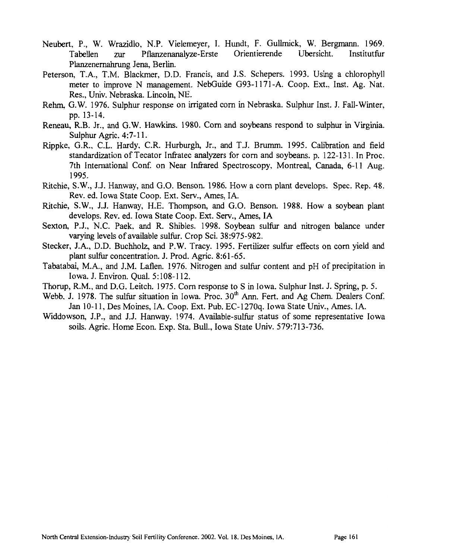- Neubert, P., W. Wrazidlo, N.P. Vielemeyer, I. Hundt, F. Gullrnick, W. Bergmam. 1969. Tabellen zur Pflanzenanalyze-Erste Orientierende Ubersicht. Institutfur Planzenernahrung Jena, Berlin.
- Peterson, T.A., T.M. Blackmer, D.D. Francis, and J.S. Schepers. 1993. Using a chlorophyll meter to improve N management. NebGuide G93-1171-A. Coop. Ext.. Inst. Ag. Nat. Res., Univ. Nebraska. Lincoln, NE.
- Rehm, G.W. 1976. Sulphur response on irrigated corn in Nebraska. Sulphur Inst. J. Fall-Winter. pp. 13-14.
- Reneau, R.B. Jr., and G.W. Hawkins. 1980. Corn and soybeans respond to sulphur in Virginia. Sulphur Agric. **4:7-** 1 1.
- Rippke, G.R., C.L. Hardy. C.R. Hurburgh, Jr., and T.J. Brurnm. 1995. Calibration and field standardization of Tecator Infratec analyzers for corn and soybeans. p. 122-131. In Proc. 7th International Conf. on Near Infrared Spectroscopy, Montreal, Canada, 6-11 Aug. 1995.
- Ritchie, S.W., J.J. Hanway, and G.O. Benson. 1986. How a corn plant develops. Spec. Rep. 48. Rev. ed. Iowa State Coop. Ext. Serv., Ames, IA.
- Ritchie, S.W., J.J. Hanway, H.E. Thompson, and G.O. Benson. 1988. How a soybean plant develops. Rev. ed. Iowa State Coop. Ext. Serv., Ames, IA
- Sexton, P.J., N.C. Paek, and R. Shibles. 1998. Soybean sulfur and nitrogen balance under varying levels of available sulfur. Crop Sci. 38:975-982.
- Stecker, J.A., D.D. Buchholz, and P.W. Tracy. 1995. Fertilizer sulfur effects on corn yield and plant sulfur concentration. J. Prod. Agric. 8:61-65.
- Tabatabai, M.A., and J.M. Laflen. 1976. Nitrogen and sulfur content and pH of precipitation in Iowa. J. Environ. Qual. 5: 108- 1 12.
- Thorup, R.M., and D.G. Leitch. 1975. Corn response to S in Iowa. Sulphur Inst. J. Spring, p. 5.
- Webb. J. 1978. The sulfur situation in Iowa. Proc. 30<sup>th</sup> Ann. Fert. and Ag Chem. Dealers Conf. Jan 10-1 1, Des Moines, IA. Coop. Ext. Pub. EC-1270q. Iowa State Univ., Ames. IA.
- Widdowson, J.P., and J.J. Hanway. 1974. Available-sulfur status of some representative Iowa soils. Agric. Home Econ. Exp. Sta. Bull.. Iowa State Univ. 579:713-736.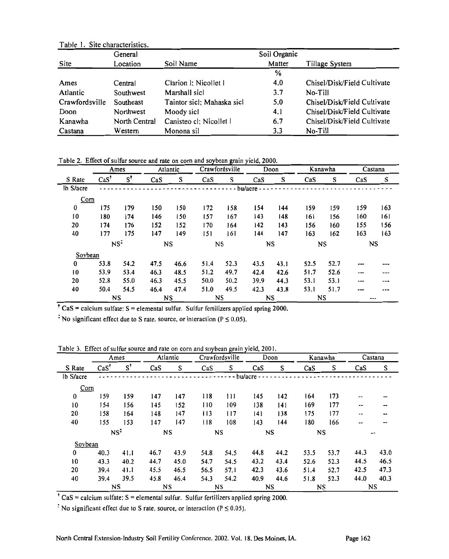| Table 1. Site characteristics. |               |                            |               |                             |  |  |  |  |  |  |  |
|--------------------------------|---------------|----------------------------|---------------|-----------------------------|--|--|--|--|--|--|--|
|                                | General       |                            | Soil Organic  |                             |  |  |  |  |  |  |  |
| Site                           | Location      | Soil Name                  | Matter        | Tillage System              |  |  |  |  |  |  |  |
|                                |               |                            | $\frac{0}{2}$ |                             |  |  |  |  |  |  |  |
| Ames                           | Central       | Clarion I; Nicollet I      | 4.0           | Chisel/Disk/Field Cultivate |  |  |  |  |  |  |  |
| Atlantic                       | Southwest     | Marshall sicl              | 3.7           | No-Till                     |  |  |  |  |  |  |  |
| Crawfordsville                 | Southeast     | Taintor sicl; Mahaska sicl | 5.0           | Chisel/Disk/Field Cultivate |  |  |  |  |  |  |  |
| Doon                           | Northwest     | Moody sicl                 | 4.1           | Chisel/Disk/Field Cultivate |  |  |  |  |  |  |  |
| Kanawha                        | North Central | Canisteo cl; Nicollet l    | 6.7           | Chisel/Disk/Field Cultivate |  |  |  |  |  |  |  |
| Castana                        | Western       | Monona sil                 | 3.3           | No-Till                     |  |  |  |  |  |  |  |

Table 2. Effect of sulfur source and rate on corn and soybean grain yield, 2000.

|           | Ames                   |               |           | Atlantic |      | Crawfordsville |           | Doon      | Kanawha |      | Castana   |     |
|-----------|------------------------|---------------|-----------|----------|------|----------------|-----------|-----------|---------|------|-----------|-----|
| S Rate    | $\text{CaS}^{\dagger}$ | $S^{\dagger}$ | $\cos$    | S        | Cas  | S              | CaS       | S         | CaS     | S    | $\cos$    | S   |
| lb S/acre |                        |               |           |          |      |                | - bu/acre |           |         |      |           |     |
| Com       |                        |               |           |          |      |                |           |           |         |      |           |     |
| $\bf{0}$  | 175                    | 179           | 150       | 150      | 172  | 158            | 154       | 144       | 159     | 159  | 159       | 163 |
| 10        | 180                    | 174           | 146       | 150      | 157  | 167            | 143       | 148       | 161     | 156  | 160       | 161 |
| 20        | 174                    | 176           | 152       | 152      | 170  | 164            | 142       | 143       | 156     | 160  | 155       | 156 |
| 40        | 177                    | 175           | 147       | 149      | 151  | 161            | 144       | 147       | 163     | 162  | 163       | 163 |
|           | NS <sup>2</sup>        |               | <b>NS</b> |          | NS   |                | <b>NS</b> |           | NS      |      | <b>NS</b> |     |
| Sovbean   |                        |               |           |          |      |                |           |           |         |      |           |     |
| 0         | 53.8                   | 54.2          | 47.5      | 46.6     | 51.4 | 52.3           | 43.5      | 43.1      | 52.5    | 52.7 |           |     |
| 10        | 53.9                   | 53.4          | 46.3      | 48.5     | 51.2 | 49.7           | 42.4      | 42.6      | 51.7    | 52.6 | ---       | --- |
| 20        | 52.8                   | 55.0          | 46.3      | 45.5     | 50.0 | 50.2           | 39.9      | 44.3      | 53.1    | 53.1 | ---       | --- |
| 40        | 50.4                   | 54.5          | 46.4      | 47.4     | 51.0 | 49.5           | 42.3      | 43.8      | 53.1    | 51.7 |           |     |
|           | NS                     |               | NS        |          |      | <b>NS</b>      |           | <b>NS</b> | NS      |      | ---       |     |

 $\overline{C}$  CaS = calcium sulfate: S = elemental sulfur. Sulfur fertilizers applied spring 2000.

<sup> $\div$ </sup> No significant effect due to S rate, source, or interaction ( $P \le 0.05$ ).

Table 3. Effect of sulfur source and rate on corn and soybean grain yield, 2001.

|           |                        | <b>DE DUITEL JOULED</b><br>Ames |        | Atlantic | and rate on corn and so jocan gram jiera, 2007. | Crawfordsville    |      | Doon |      | Kanawha |           | Castana |
|-----------|------------------------|---------------------------------|--------|----------|-------------------------------------------------|-------------------|------|------|------|---------|-----------|---------|
| S Rate    | $\text{CaS}^{\dagger}$ | $S^{\dagger}$                   | $\cos$ | S        | CaS                                             | S                 | CaS  | S    | CaS  | S       | CaS       | S       |
| lb S/acre |                        |                                 |        |          |                                                 | $- - -$ bu/acre - |      |      |      |         |           |         |
| Corn      |                        |                                 |        |          |                                                 |                   |      |      |      |         |           |         |
| 0         | 159                    | 159                             | 147    | 147      | 118                                             | 111               | 145  | 142  | 164  | 173     |           |         |
| 10        | 154                    | 156                             | 145    | 152      | 110                                             | 109               | 138  | 141  | 169  | 177     | --        |         |
| 20        | 158                    | 164                             | 148    | 147      | 113                                             | 117               | 141  | 138  | 175  | 177     | --        | --      |
| 40        | 155                    | 153                             | 147    | 147      | 118                                             | 108               | 143  | 144  | 180  | 166     | --        |         |
|           | NS <sup>2</sup>        |                                 | NS     |          |                                                 | NS                |      | NS   | NS   |         | --        |         |
| Sovbean   |                        |                                 |        |          |                                                 |                   |      |      |      |         |           |         |
| $\bf{0}$  | 40.3                   | 41.1                            | 46.7   | 43.9     | 54.8                                            | 54.5              | 44.8 | 44.2 | 53.5 | 53.7    | 44.3      | 43.0    |
| 10        | 43.3                   | 40.2                            | 44.7   | 45.0     | 54.7                                            | 54.5              | 43.2 | 43.4 | 52.6 | 52.3    | 44.5      | 46.5    |
| 20        | 39.4                   | 41.1                            | 45.5   | 46.5     | 56.5                                            | 57.1              | 42.3 | 43.6 | 51.4 | 52.7    | 42.5      | 47.3    |
| 40        | 39.4                   | 39.5                            | 45.8   | 46.4     | 54.3                                            | 54.2              | 40.9 | 44.6 | 51.8 | 52.3    | 44.0      | 40.3    |
|           |                        | NS                              | NS     |          |                                                 | <b>NS</b>         | NS   |      | NS   |         | <b>NS</b> |         |

 $\overline{C}$  CaS = calcium sulfate; S = elemental sulfur. Sulfur fertilizers applied spring 2000.

 $\dot{\phi}$  No significant effect due to S rate, source, or interaction (P  $\leq$  0.05).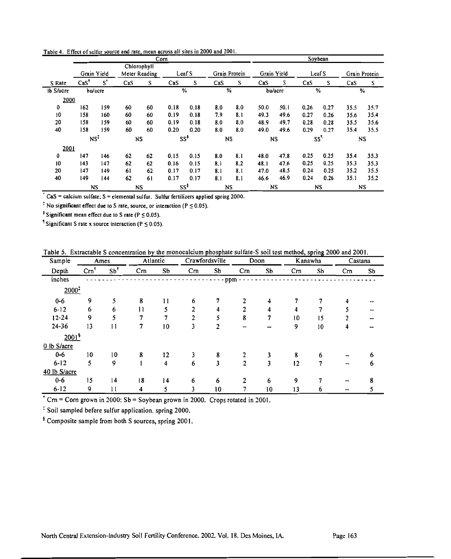|           |                        |                  |     | Com           |                | Soybean          |     |               |      |                 |      |        |      |               |  |
|-----------|------------------------|------------------|-----|---------------|----------------|------------------|-----|---------------|------|-----------------|------|--------|------|---------------|--|
|           |                        |                  |     | Chlorophyll   |                |                  |     |               |      |                 |      |        |      |               |  |
|           |                        | Grain Yield      |     | Meter Reading |                | Leaf S           |     | Grain Protein |      | Grain Yield     |      | Leaf S |      | Grain Protein |  |
| S Rate    | $\text{CaS}^{\dagger}$ | s'               | CaS | S             | $\mathbf{CaS}$ | S                |     | S             | CaS  | s               | Cs   | S      | Cas  | S             |  |
| lb S/acre |                        | bu/acre          |     |               |                | %                | %   |               |      | bu/acre         | %    |        | $\%$ |               |  |
| 2000      |                        |                  |     |               |                |                  |     |               |      |                 |      |        |      |               |  |
| 0         | 162                    | 159              | 60  | 60            | 0.18           | 0.18             | 8.0 | 8.0           | 50.0 | 50.1            | 0.26 | 0.27   | 35.5 | 35.7          |  |
| 10        | 158                    | 160              | 60  | 60            | 0.19           | 0.18             | 7.9 | 8.1           | 49.3 | 49.6            | 0.27 | 0.26   | 35.6 | 35.4          |  |
| 20        | 158                    | 159              | 60  | 60            | 0.19           | 0.18             | 8.0 | 8.0           | 48.9 | 49.7            | 0.28 | 0.28   | 35.5 | 35.6          |  |
| 40        | 158                    | 159              | 60  | 60            | 0.20           | 0.20             | 8.0 | 8.0           | 49.0 | 49.6            | 0.29 | 0.27   | 35.4 | 35.5          |  |
|           |                        | NS‡<br><b>NS</b> |     | ss'           |                | NS               |     | <b>NS</b>     |      | SS <sup>1</sup> |      | NS     |      |               |  |
| 2001      |                        |                  |     |               |                |                  |     |               |      |                 |      |        |      |               |  |
| 0         | 147                    | 146              | 62  | 62            | 0.15           | 0.15             | 8.0 | 8.1           | 48.0 | 47.8            | 0.25 | 0.25   | 35.4 | 35.3          |  |
| 10        | 143                    | 147              | 62  | 62            | 0.16           | 0.15             | 8.1 | 8.2           | 48.1 | 47.6            | 0.25 | 0.25   | 35.3 | 35.3          |  |
| 20        | 147                    | 149              | 61  | 62            | 0.17           | 0.17             | 8.1 | 8.1           | 47.0 | 48.5            | 0.24 | 0.25   | 35.2 | 35.5          |  |
| 40        | 149                    | 144              | 62  | 61            | 0.17           | 0.17             | 8.1 | 8.1           | 46.6 | 46.9            | 0.24 | 0.26   | 35.1 | 35.2          |  |
|           |                        | NS               |     | NS            |                | SS <sup>\$</sup> |     | NS            | NS   |                 | NS   |        | NS   |               |  |

Table 4. Effect of sulfur source and rate. mean across all sites in 2000 and 2001.

<sup>t</sup> CaS = calcium sulfate; S = elemental sulfur. Sulfur fertilizers applied spring 2000.<br>
No significant effect due to S rate, source, or interaction ( $P \le 0.05$ ).<br>
<sup>§</sup> Significant mean effect due to S rate ( $P \le 0.05$ ).

'Significant S rate **x** source interaction (P **5** 0.05).

Table *5.* Extractable S concentration by the monocalcium phosphate sulfate-S soil test method, spring 2000 and 2001.

| Sample            | Ames |                | Atlantic |    | Crawfordsville |     | Doon |    | Kanawha |    | Castana |    |
|-------------------|------|----------------|----------|----|----------------|-----|------|----|---------|----|---------|----|
| Depth             | Crn  | $Sb^{\dagger}$ | Crn      | Sb | Cm             | Sb  | Crn  | Sb | Cm      | Sb | Crn     | Sb |
| inches            |      |                |          |    |                | ppm |      |    |         |    |         |    |
| $2000^{\ddagger}$ |      |                |          |    |                |     |      |    |         |    |         |    |
| $0 - 6$           | 9    | 5              | 8        | 11 | 6              |     | 2    | 4  |         |    |         |    |
| $6 - 12$          | 6    | 6              | 11       | 5  | 2              |     | 2    | 4  |         |    |         |    |
| $12 - 24$         | 9    | 5              |          | 7  | 2              | 5   | 8    | 7  | 10      | 15 |         |    |
| 24-36             | 13   | 11             | 7        | 10 | 3              | 2   | --   |    | 9       | 10 | 4       |    |
| $2001^6$          |      |                |          |    |                |     |      |    |         |    |         |    |
| 0 lb S/acre       |      |                |          |    |                |     |      |    |         |    |         |    |
| $0 - 6$           | 10   | 10             | 8        | 12 | 3              | 8   | 2    | 3  | 8       | 6  |         |    |
| $6 - 12$          | 5    | 9              |          | 4  | 6              | 3   | 2    | 3  | 12      | 7  | -       | O  |
| 40 lb S/acre      |      |                |          |    |                |     |      |    |         |    |         |    |
| $0 - 6$           | 15   | 14             | 18       | 14 | 6              | 6   | 2    | 6  | 9       |    |         |    |
| $6 - 12$          | 9    | 11             | 4        | 5  | 3              | 10  | 7    | 10 | 13      | 6  | --      |    |

 $\overline{C}$  Cm = Corn grown in 2000: Sb = Soybean grown in 2000. Crops rotated in 2001.

: Soil sampled before sulfur application, spring 2000.

Composite sample from both S sources, spring 2001.